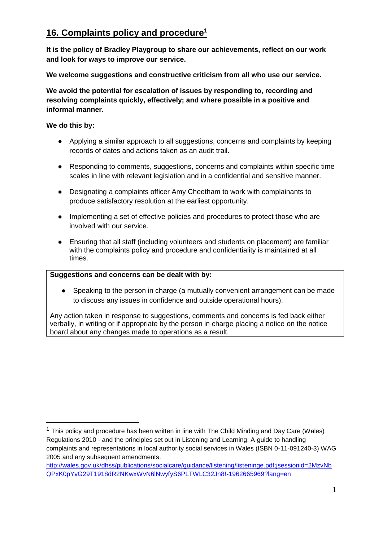# **16. Complaints policy and procedure<sup>1</sup>**

**It is the policy of Bradley Playgroup to share our achievements, reflect on our work and look for ways to improve our service.** 

**We welcome suggestions and constructive criticism from all who use our service.** 

**We avoid the potential for escalation of issues by responding to, recording and resolving complaints quickly, effectively; and where possible in a positive and informal manner.** 

### **We do this by:**

1

- Applying a similar approach to all suggestions, concerns and complaints by keeping records of dates and actions taken as an audit trail.
- Responding to comments, suggestions, concerns and complaints within specific time scales in line with relevant legislation and in a confidential and sensitive manner.
- Designating a complaints officer Amy Cheetham to work with complainants to produce satisfactory resolution at the earliest opportunity.
- Implementing a set of effective policies and procedures to protect those who are involved with our service.
- Ensuring that all staff (including volunteers and students on placement) are familiar with the complaints policy and procedure and confidentiality is maintained at all times.

### **Suggestions and concerns can be dealt with by:**

● Speaking to the person in charge (a mutually convenient arrangement can be made to discuss any issues in confidence and outside operational hours).

Any action taken in response to suggestions, comments and concerns is fed back either verbally, in writing or if appropriate by the person in charge placing a notice on the notice board about any changes made to operations as a result.

[http://wales.gov.uk/dhss/publications/socialcare/guidance/listening/listeninge.pdf;jsessionid=2MzvNb](http://wales.gov.uk/dhss/publications/socialcare/guidance/listening/listeninge.pdf;jsessionid=2MzvNbQPxK0pYvG29T1918dR2NKwxWvN6lNwyfyS6PLTWLC32Jn8!-1962665969?lang=en) [QPxK0pYvG29T1918dR2NKwxWvN6lNwyfyS6PLTWLC32Jn8!-1962665969?lang=en](http://wales.gov.uk/dhss/publications/socialcare/guidance/listening/listeninge.pdf;jsessionid=2MzvNbQPxK0pYvG29T1918dR2NKwxWvN6lNwyfyS6PLTWLC32Jn8!-1962665969?lang=en)

 $1$  This policy and procedure has been written in line with The Child Minding and Day Care (Wales) Regulations 2010 - and the principles set out in Listening and Learning: A guide to handling complaints and representations in local authority social services in Wales (ISBN 0-11-091240-3) WAG 2005 and any subsequent amendments.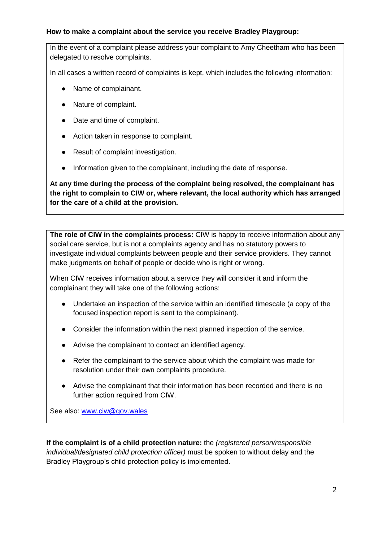#### **How to make a complaint about the service you receive Bradley Playgroup:**

In the event of a complaint please address your complaint to Amy Cheetham who has been delegated to resolve complaints.

In all cases a written record of complaints is kept, which includes the following information:

- Name of complainant.
- Nature of complaint.
- Date and time of complaint.
- Action taken in response to complaint.
- Result of complaint investigation.
- Information given to the complainant, including the date of response.

**At any time during the process of the complaint being resolved, the complainant has the right to complain to CIW or, where relevant, the local authority which has arranged for the care of a child at the provision.**

**The role of CIW in the complaints process:** CIW is happy to receive information about any social care service, but is not a complaints agency and has no statutory powers to investigate individual complaints between people and their service providers. They cannot make judgments on behalf of people or decide who is right or wrong.

When CIW receives information about a service they will consider it and inform the complainant they will take one of the following actions:

- Undertake an inspection of the service within an identified timescale (a copy of the focused inspection report is sent to the complainant).
- Consider the information within the next planned inspection of the service.
- Advise the complainant to contact an identified agency.
- Refer the complainant to the service about which the complaint was made for resolution under their own complaints procedure.
- Advise the complainant that their information has been recorded and there is no further action required from CIW.

See also: [www.ciw@gov.wales](http://www.ciw@gov.wales)

**If the complaint is of a child protection nature:** the *(registered person/responsible individual/designated child protection officer)* must be spoken to without delay and the Bradley Playgroup's child protection policy is implemented.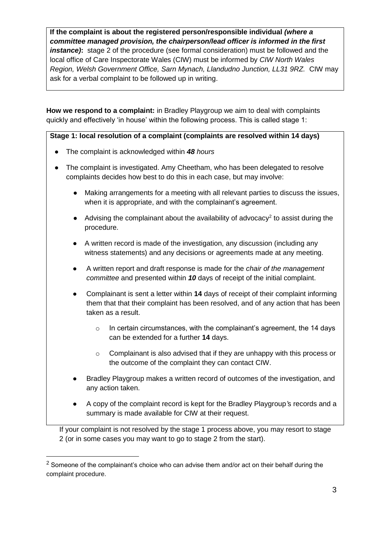**If the complaint is about the registered person/responsible individual** *(where a committee managed provision, the chairperson/lead officer is informed in the first instance)***:** stage 2 of the procedure (see formal consideration) must be followed and the local office of Care Inspectorate Wales (CIW) must be informed by *CIW North Wales Region, Welsh Government Office, Sarn Mynach, Llandudno Junction, LL31 9RZ.* CIW may ask for a verbal complaint to be followed up in writing.

**How we respond to a complaint:** in Bradley Playgroup we aim to deal with complaints quickly and effectively 'in house' within the following process. This is called stage 1:

**Stage 1: local resolution of a complaint (complaints are resolved within 14 days)**

- The complaint is acknowledged within *48 hours*
- The complaint is investigated. Amy Cheetham, who has been delegated to resolve complaints decides how best to do this in each case, but may involve:
	- Making arrangements for a meeting with all relevant parties to discuss the issues, when it is appropriate, and with the complainant's agreement.
	- $\bullet$  Advising the complainant about the availability of advocacy<sup>2</sup> to assist during the procedure.
	- A written record is made of the investigation, any discussion (including any witness statements) and any decisions or agreements made at any meeting.
	- A written report and draft response is made for the *chair of the management committee* and presented within *10* days of receipt of the initial complaint.
	- Complainant is sent a letter within **14** days of receipt of their complaint informing them that that their complaint has been resolved, and of any action that has been taken as a result.
		- $\circ$  In certain circumstances, with the complainant's agreement, the 14 days can be extended for a further **14** days.
		- $\circ$  Complainant is also advised that if they are unhappy with this process or the outcome of the complaint they can contact CIW.
	- Bradley Playgroup makes a written record of outcomes of the investigation, and any action taken.
	- A copy of the complaint record is kept for the Bradley Playgroup*'*s records and a summary is made available for CIW at their request.

If your complaint is not resolved by the stage 1 process above, you may resort to stage 2 (or in some cases you may want to go to stage 2 from the start).

1

 $2$  Someone of the complainant's choice who can advise them and/or act on their behalf during the complaint procedure.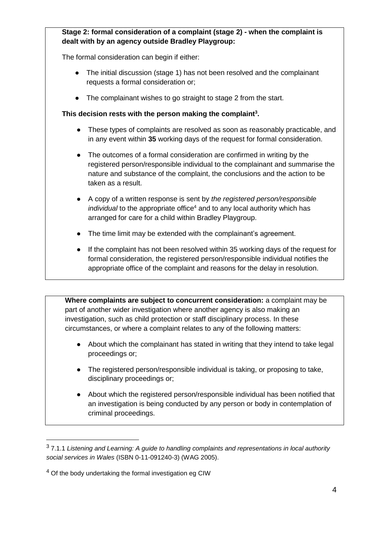## **Stage 2: formal consideration of a complaint (stage 2) - when the complaint is dealt with by an agency outside Bradley Playgroup:**

The formal consideration can begin if either:

- The initial discussion (stage 1) has not been resolved and the complainant requests a formal consideration or;
- The complainant wishes to go straight to stage 2 from the start.

## **This decision rests with the person making the complaint<sup>3</sup> .**

- These types of complaints are resolved as soon as reasonably practicable, and in any event within **35** working days of the request for formal consideration.
- The outcomes of a formal consideration are confirmed in writing by the registered person/responsible individual to the complainant and summarise the nature and substance of the complaint, the conclusions and the action to be taken as a result.
- A copy of a written response is sent by *the registered person/responsible individual* to the appropriate office<sup>4</sup> and to any local authority which has arranged for care for a child within Bradley Playgroup.
- The time limit may be extended with the complainant's agreement.
- If the complaint has not been resolved within 35 working days of the request for formal consideration, the registered person/responsible individual notifies the appropriate office of the complaint and reasons for the delay in resolution.

**Where complaints are subject to concurrent consideration:** a complaint may be part of another wider investigation where another agency is also making an investigation, such as child protection or staff disciplinary process. In these circumstances, or where a complaint relates to any of the following matters:

- About which the complainant has stated in writing that they intend to take legal proceedings or;
- The registered person/responsible individual is taking, or proposing to take, disciplinary proceedings or;
- About which the registered person/responsible individual has been notified that an investigation is being conducted by any person or body in contemplation of criminal proceedings.

1

<sup>3</sup> 7.1.1 *Listening and Learning: A guide to handling complaints and representations in local authority social services in Wales* (ISBN 0-11-091240-3) (WAG 2005).

<sup>&</sup>lt;sup>4</sup> Of the body undertaking the formal investigation eg CIW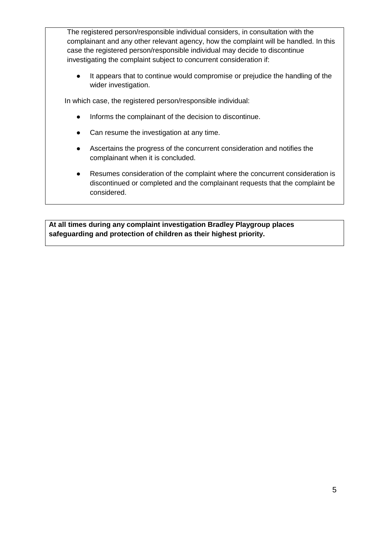The registered person/responsible individual considers, in consultation with the complainant and any other relevant agency, how the complaint will be handled. In this case the registered person/responsible individual may decide to discontinue investigating the complaint subject to concurrent consideration if:

● It appears that to continue would compromise or prejudice the handling of the wider investigation.

In which case, the registered person/responsible individual:

- Informs the complainant of the decision to discontinue.
- Can resume the investigation at any time.
- Ascertains the progress of the concurrent consideration and notifies the complainant when it is concluded.
- Resumes consideration of the complaint where the concurrent consideration is discontinued or completed and the complainant requests that the complaint be considered.

**At all times during any complaint investigation Bradley Playgroup places safeguarding and protection of children as their highest priority.**